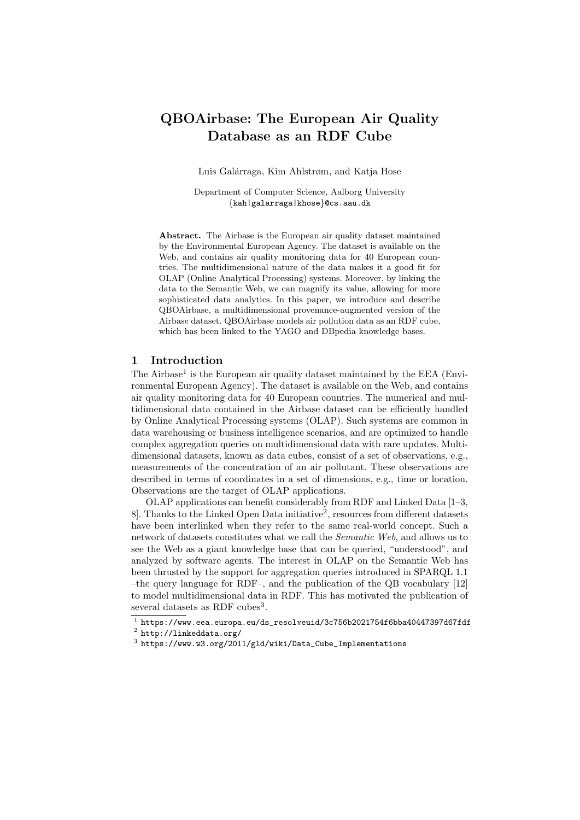# QBOAirbase: The European Air Quality Database as an RDF Cube

Luis Galárraga, Kim Ahlstrøm, and Katja Hose

Department of Computer Science, Aalborg University {kah|galarraga|khose}@cs.aau.dk

Abstract. The Airbase is the European air quality dataset maintained by the Environmental European Agency. The dataset is available on the Web, and contains air quality monitoring data for 40 European countries. The multidimensional nature of the data makes it a good fit for OLAP (Online Analytical Processing) systems. Moreover, by linking the data to the Semantic Web, we can magnify its value, allowing for more sophisticated data analytics. In this paper, we introduce and describe QBOAirbase, a multidimensional provenance-augmented version of the Airbase dataset. QBOAirbase models air pollution data as an RDF cube, which has been linked to the YAGO and DBpedia knowledge bases.

# 1 Introduction

The Airbase<sup>1</sup> is the European air quality dataset maintained by the EEA (Environmental European Agency). The dataset is available on the Web, and contains air quality monitoring data for 40 European countries. The numerical and multidimensional data contained in the Airbase dataset can be efficiently handled by Online Analytical Processing systems (OLAP). Such systems are common in data warehousing or business intelligence scenarios, and are optimized to handle complex aggregation queries on multidimensional data with rare updates. Multidimensional datasets, known as data cubes, consist of a set of observations, e.g., measurements of the concentration of an air pollutant. These observations are described in terms of coordinates in a set of dimensions, e.g., time or location. Observations are the target of OLAP applications.

OLAP applications can benefit considerably from RDF and Linked Data [1–3, 8. Thanks to the Linked Open Data initiative<sup>2</sup>, resources from different datasets have been interlinked when they refer to the same real-world concept. Such a network of datasets constitutes what we call the Semantic Web, and allows us to see the Web as a giant knowledge base that can be queried, "understood", and analyzed by software agents. The interest in OLAP on the Semantic Web has been thrusted by the support for aggregation queries introduced in SPARQL 1.1 –the query language for RDF–, and the publication of the QB vocabulary [12] to model multidimensional data in RDF. This has motivated the publication of several datasets as RDF cubes<sup>3</sup>.

 $^{\rm 1}$  https://www.eea.europa.eu/ds\_resolveuid/3c756b2021754f6bba40447397d67fdf

 $^2$  http://linkeddata.org/

 $^3$  https://www.w3.org/2011/gld/wiki/Data\_Cube\_Implementations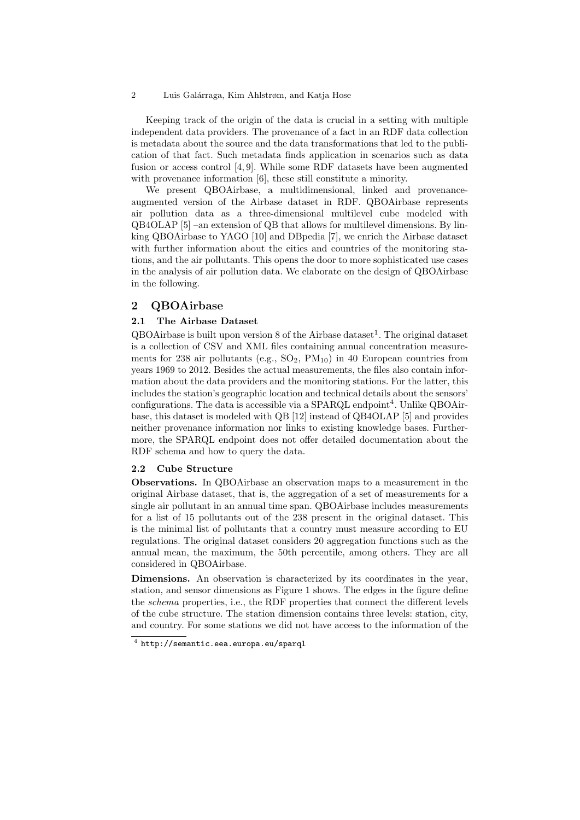#### 2 Luis Galárraga, Kim Ahlstrøm, and Katja Hose

Keeping track of the origin of the data is crucial in a setting with multiple independent data providers. The provenance of a fact in an RDF data collection is metadata about the source and the data transformations that led to the publication of that fact. Such metadata finds application in scenarios such as data fusion or access control [4, 9]. While some RDF datasets have been augmented with provenance information [6], these still constitute a minority.

We present QBOAirbase, a multidimensional, linked and provenanceaugmented version of the Airbase dataset in RDF. QBOAirbase represents air pollution data as a three-dimensional multilevel cube modeled with QB4OLAP [5] –an extension of QB that allows for multilevel dimensions. By linking QBOAirbase to YAGO [10] and DBpedia [7], we enrich the Airbase dataset with further information about the cities and countries of the monitoring stations, and the air pollutants. This opens the door to more sophisticated use cases in the analysis of air pollution data. We elaborate on the design of QBOAirbase in the following.

## 2 QBOAirbase

### 2.1 The Airbase Dataset

 $QBOAirbase$  is built upon version 8 of the Airbase dataset<sup>1</sup>. The original dataset is a collection of CSV and XML files containing annual concentration measurements for 238 air pollutants (e.g.,  $SO_2$ ,  $PM_{10}$ ) in 40 European countries from years 1969 to 2012. Besides the actual measurements, the files also contain information about the data providers and the monitoring stations. For the latter, this includes the station's geographic location and technical details about the sensors' configurations. The data is accessible via a SPARQL endpoint<sup>4</sup>. Unlike QBOAirbase, this dataset is modeled with QB [12] instead of QB4OLAP [5] and provides neither provenance information nor links to existing knowledge bases. Furthermore, the SPARQL endpoint does not offer detailed documentation about the RDF schema and how to query the data.

#### 2.2 Cube Structure

Observations. In QBOAirbase an observation maps to a measurement in the original Airbase dataset, that is, the aggregation of a set of measurements for a single air pollutant in an annual time span. QBOAirbase includes measurements for a list of 15 pollutants out of the 238 present in the original dataset. This is the minimal list of pollutants that a country must measure according to EU regulations. The original dataset considers 20 aggregation functions such as the annual mean, the maximum, the 50th percentile, among others. They are all considered in QBOAirbase.

Dimensions. An observation is characterized by its coordinates in the year, station, and sensor dimensions as Figure 1 shows. The edges in the figure define the schema properties, i.e., the RDF properties that connect the different levels of the cube structure. The station dimension contains three levels: station, city, and country. For some stations we did not have access to the information of the

 $^4$  http://semantic.eea.europa.eu/sparql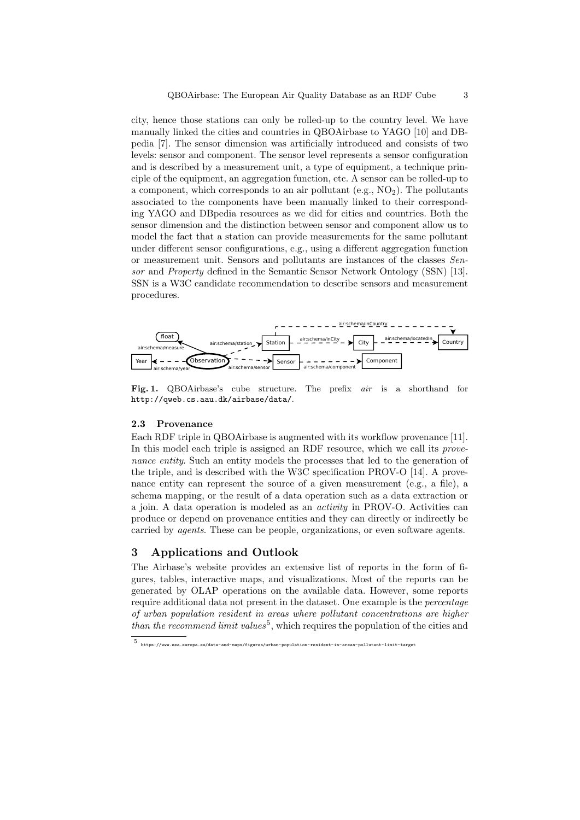city, hence those stations can only be rolled-up to the country level. We have manually linked the cities and countries in QBOAirbase to YAGO [10] and DBpedia [7]. The sensor dimension was artificially introduced and consists of two levels: sensor and component. The sensor level represents a sensor configuration and is described by a measurement unit, a type of equipment, a technique principle of the equipment, an aggregation function, etc. A sensor can be rolled-up to a component, which corresponds to an air pollutant (e.g.,  $NO<sub>2</sub>$ ). The pollutants associated to the components have been manually linked to their corresponding YAGO and DBpedia resources as we did for cities and countries. Both the sensor dimension and the distinction between sensor and component allow us to model the fact that a station can provide measurements for the same pollutant under different sensor configurations, e.g., using a different aggregation function or measurement unit. Sensors and pollutants are instances of the classes Sensor and Property defined in the Semantic Sensor Network Ontology (SSN) [13]. SSN is a W3C candidate recommendation to describe sensors and measurement procedures.



Fig. 1. QBOAirbase's cube structure. The prefix air is a shorthand for http://qweb.cs.aau.dk/airbase/data/.

#### 2.3 Provenance

Each RDF triple in QBOAirbase is augmented with its workflow provenance [11]. In this model each triple is assigned an RDF resource, which we call its provenance entity. Such an entity models the processes that led to the generation of the triple, and is described with the W3C specification PROV-O [14]. A provenance entity can represent the source of a given measurement (e.g., a file), a schema mapping, or the result of a data operation such as a data extraction or a join. A data operation is modeled as an activity in PROV-O. Activities can produce or depend on provenance entities and they can directly or indirectly be carried by agents. These can be people, organizations, or even software agents.

# 3 Applications and Outlook

The Airbase's website provides an extensive list of reports in the form of figures, tables, interactive maps, and visualizations. Most of the reports can be generated by OLAP operations on the available data. However, some reports require additional data not present in the dataset. One example is the percentage of urban population resident in areas where pollutant concentrations are higher than the recommend limit values<sup>5</sup>, which requires the population of the cities and

<sup>5</sup> https://www.eea.europa.eu/data-and-maps/figures/urban-population-resident-in-areas-pollutant-limit-target